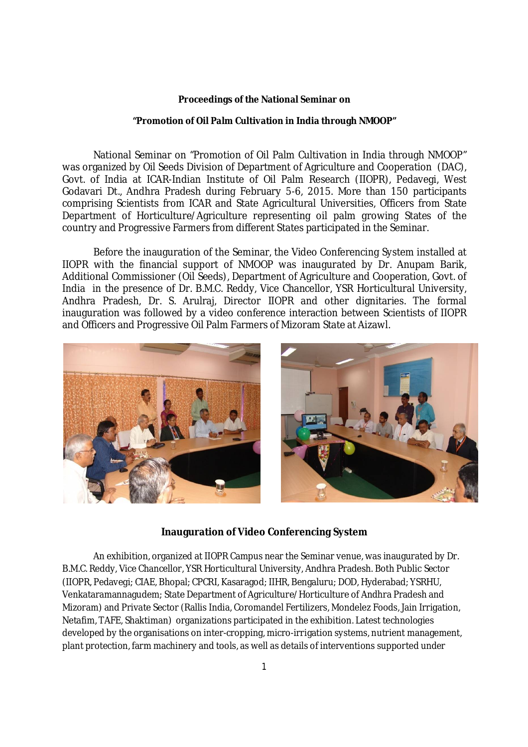#### **Proceedings of the National Seminar on**

#### **"Promotion of Oil Palm Cultivation in India through NMOOP"**

National Seminar on "Promotion of Oil Palm Cultivation in India through NMOOP" was organized by Oil Seeds Division of Department of Agriculture and Cooperation (DAC), Govt. of India at ICAR-Indian Institute of Oil Palm Research (IIOPR), Pedavegi, West Godavari Dt., Andhra Pradesh during February 5-6, 2015. More than 150 participants comprising Scientists from ICAR and State Agricultural Universities, Officers from State Department of Horticulture/Agriculture representing oil palm growing States of the country and Progressive Farmers from different States participated in the Seminar.

Before the inauguration of the Seminar, the Video Conferencing System installed at IIOPR with the financial support of NMOOP was inaugurated by Dr. Anupam Barik, Additional Commissioner (Oil Seeds), Department of Agriculture and Cooperation, Govt. of India in the presence of Dr. B.M.C. Reddy, Vice Chancellor, YSR Horticultural University, Andhra Pradesh, Dr. S. Arulraj, Director IIOPR and other dignitaries. The formal inauguration was followed by a video conference interaction between Scientists of IIOPR and Officers and Progressive Oil Palm Farmers of Mizoram State at Aizawl.



### **Inauguration of Video Conferencing System**

An exhibition, organized at IIOPR Campus near the Seminar venue, was inaugurated by Dr. B.M.C. Reddy, Vice Chancellor, YSR Horticultural University, Andhra Pradesh. Both Public Sector (IIOPR, Pedavegi; CIAE, Bhopal; CPCRI, Kasaragod; IIHR, Bengaluru; DOD, Hyderabad; YSRHU, Venkataramannagudem; State Department of Agriculture/Horticulture of Andhra Pradesh and Mizoram) and Private Sector (Rallis India, Coromandel Fertilizers, Mondelez Foods, Jain Irrigation, Netafim, TAFE, Shaktiman) organizations participated in the exhibition. Latest technologies developed by the organisations on inter-cropping, micro-irrigation systems, nutrient management, plant protection, farm machinery and tools, as well as details of interventions supported under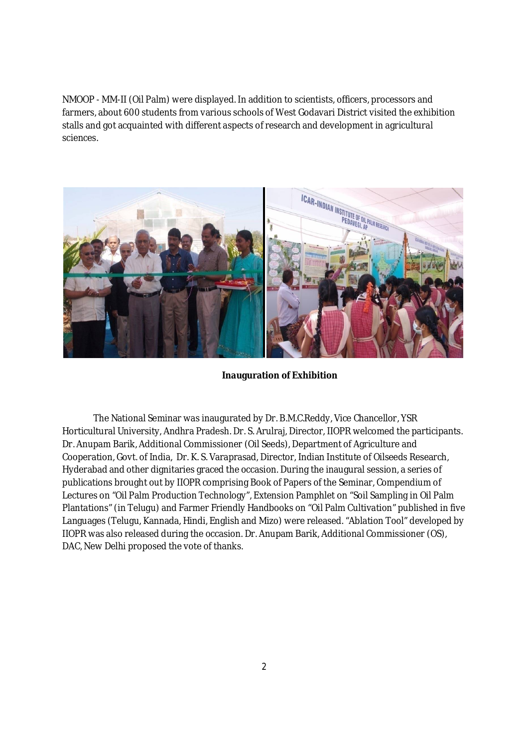NMOOP - MM-II (Oil Palm) were displayed. In addition to scientists, officers, processors and farmers, about 600 students from various schools of West Godavari District visited the exhibition stalls and got acquainted with different aspects of research and development in agricultural sciences.



**Inauguration of Exhibition**

The National Seminar was inaugurated by Dr. B.M.C.Reddy, Vice Chancellor, YSR Horticultural University, Andhra Pradesh. Dr. S. Arulraj, Director, IIOPR welcomed the participants. Dr. Anupam Barik, Additional Commissioner (Oil Seeds), Department of Agriculture and Cooperation, Govt. of India, Dr. K. S. Varaprasad, Director, Indian Institute of Oilseeds Research, Hyderabad and other dignitaries graced the occasion. During the inaugural session, a series of publications brought out by IIOPR comprising Book of Papers of the Seminar, Compendium of Lectures on "Oil Palm Production Technology", Extension Pamphlet on "Soil Sampling in Oil Palm Plantations" (in Telugu) and Farmer Friendly Handbooks on "Oil Palm Cultivation" published in five Languages (Telugu, Kannada, Hindi, English and Mizo) were released. "Ablation Tool" developed by IIOPR was also released during the occasion. Dr. Anupam Barik, Additional Commissioner (OS), DAC, New Delhi proposed the vote of thanks.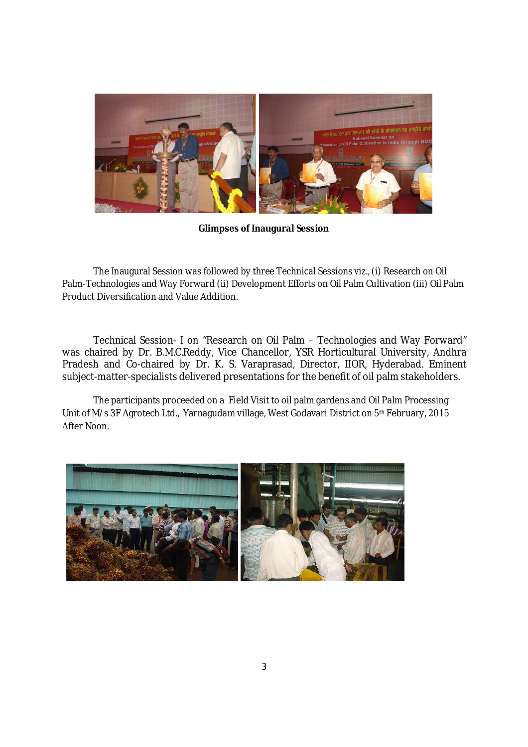

**Glimpses of Inaugural Session**

The Inaugural Session was followed by three Technical Sessions *viz*., (i) Research on Oil Palm-Technologies and Way Forward (ii) Development Efforts on Oil Palm Cultivation (iii) Oil Palm Product Diversification and Value Addition.

Technical Session- I on "Research on Oil Palm – Technologies and Way Forward" was chaired by Dr. B.M.C.Reddy, Vice Chancellor, YSR Horticultural University, Andhra Pradesh and Co-chaired by Dr. K. S. Varaprasad, Director, IIOR, Hyderabad. Eminent subject-matter-specialists delivered presentations for the benefit of oil palm stakeholders.

The participants proceeded on a Field Visit to oil palm gardens and Oil Palm Processing Unit of M/s 3F Agrotech Ltd., Yarnagudam village, West Godavari District on 5<sup>th</sup> February, 2015 After Noon.

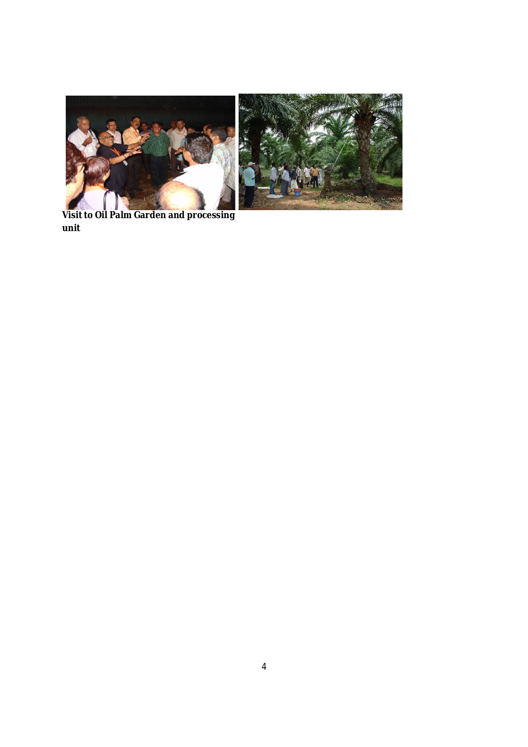

**Visit to Oil Palm Garden and processing unit**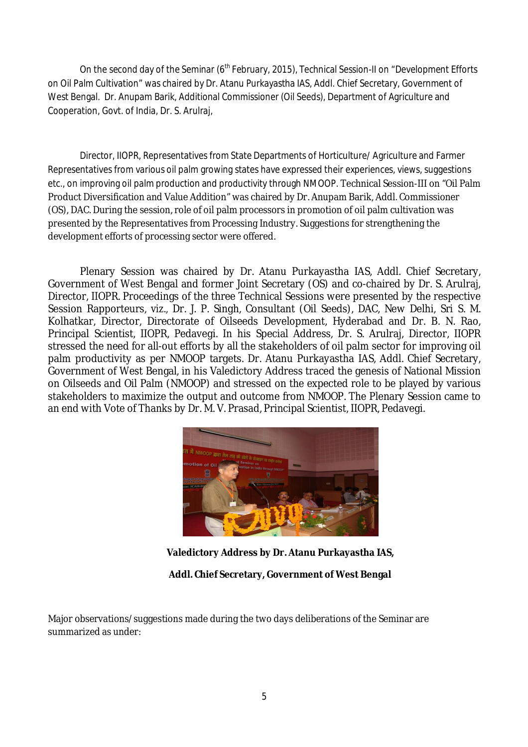On the second day of the Seminar (6<sup>th</sup> February, 2015), Technical Session-II on "Development Efforts on Oil Palm Cultivation" was chaired by Dr. Atanu Purkayastha IAS, Addl. Chief Secretary, Government of West Bengal. Dr. Anupam Barik, Additional Commissioner (Oil Seeds), Department of Agriculture and Cooperation, Govt. of India, Dr. S. Arulraj,

Director, IIOPR, Representatives from State Departments of Horticulture/ Agriculture and Farmer Representatives from various oil palm growing states have expressed their experiences, views, suggestions etc., on improving oil palm production and productivity through NMOOP. Technical Session-III on "Oil Palm Product Diversification and Value Addition" was chaired by Dr. Anupam Barik, Addl. Commissioner (OS), DAC. During the session, role of oil palm processors in promotion of oil palm cultivation was presented by the Representatives from Processing Industry. Suggestions for strengthening the development efforts of processing sector were offered.

Plenary Session was chaired by Dr. Atanu Purkayastha IAS, Addl. Chief Secretary, Government of West Bengal and former Joint Secretary (OS) and co-chaired by Dr. S. Arulraj, Director, IIOPR. Proceedings of the three Technical Sessions were presented by the respective Session Rapporteurs, *viz.,* Dr. J. P. Singh, Consultant (Oil Seeds), DAC, New Delhi, Sri S. M. Kolhatkar, Director, Directorate of Oilseeds Development, Hyderabad and Dr. B. N. Rao, Principal Scientist, IIOPR, Pedavegi. In his Special Address, Dr. S. Arulraj, Director, IIOPR stressed the need for all-out efforts by all the stakeholders of oil palm sector for improving oil palm productivity as per NMOOP targets. Dr. Atanu Purkayastha IAS, Addl. Chief Secretary, Government of West Bengal, in his Valedictory Address traced the genesis of National Mission on Oilseeds and Oil Palm (NMOOP) and stressed on the expected role to be played by various stakeholders to maximize the output and outcome from NMOOP. The Plenary Session came to an end with Vote of Thanks by Dr. M. V. Prasad, Principal Scientist, IIOPR, Pedavegi.



**Valedictory Address by Dr. Atanu Purkayastha IAS,** 

**Addl. Chief Secretary, Government of West Bengal**

Major observations/suggestions made during the two days deliberations of the Seminar are summarized as under: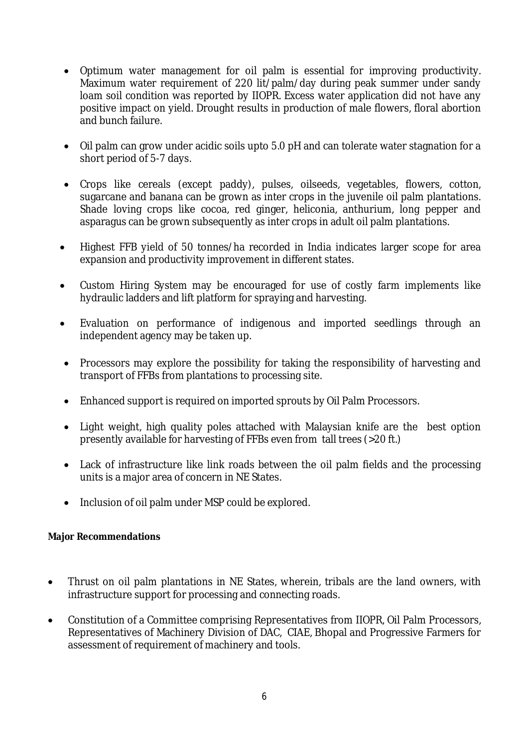- Optimum water management for oil palm is essential for improving productivity. Maximum water requirement of 220 lit/palm/day during peak summer under sandy loam soil condition was reported by IIOPR. Excess water application did not have any positive impact on yield. Drought results in production of male flowers, floral abortion and bunch failure.
- Oil palm can grow under acidic soils upto 5.0 pH and can tolerate water stagnation for a short period of 5-7 days.
- Crops like cereals (except paddy), pulses, oilseeds, vegetables, flowers, cotton, sugarcane and banana can be grown as inter crops in the juvenile oil palm plantations. Shade loving crops like cocoa, red ginger, heliconia, anthurium, long pepper and asparagus can be grown subsequently as inter crops in adult oil palm plantations.
- Highest FFB yield of 50 tonnes/ha recorded in India indicates larger scope for area expansion and productivity improvement in different states.
- Custom Hiring System may be encouraged for use of costly farm implements like hydraulic ladders and lift platform for spraying and harvesting.
- Evaluation on performance of indigenous and imported seedlings through an independent agency may be taken up.
- Processors may explore the possibility for taking the responsibility of harvesting and transport of FFBs from plantations to processing site.
- Enhanced support is required on imported sprouts by Oil Palm Processors.
- Light weight, high quality poles attached with Malaysian knife are the best option presently available for harvesting of FFBs even from tall trees (>20 ft.)
- Lack of infrastructure like link roads between the oil palm fields and the processing units is a major area of concern in NE States.
- Inclusion of oil palm under MSP could be explored.

## **Major Recommendations**

- Thrust on oil palm plantations in NE States, wherein, tribals are the land owners, with infrastructure support for processing and connecting roads.
- Constitution of a Committee comprising Representatives from IIOPR, Oil Palm Processors, Representatives of Machinery Division of DAC, CIAE, Bhopal and Progressive Farmers for assessment of requirement of machinery and tools.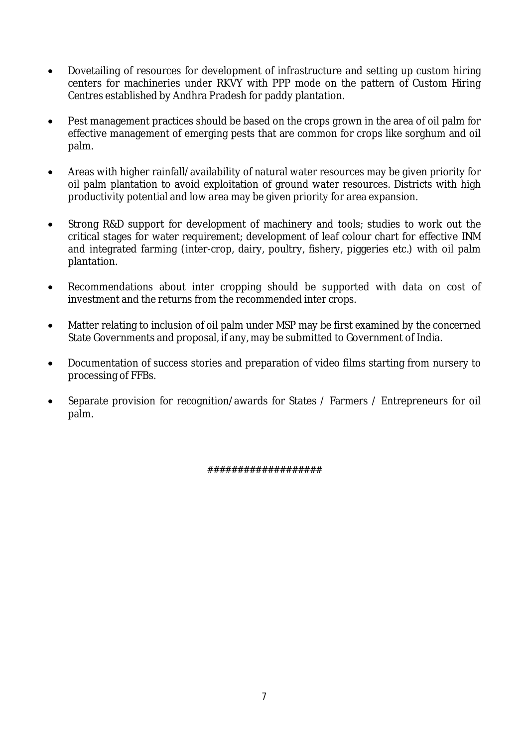- Dovetailing of resources for development of infrastructure and setting up custom hiring centers for machineries under RKVY with PPP mode on the pattern of Custom Hiring Centres established by Andhra Pradesh for paddy plantation.
- Pest management practices should be based on the crops grown in the area of oil palm for effective management of emerging pests that are common for crops like sorghum and oil palm.
- Areas with higher rainfall/availability of natural water resources may be given priority for oil palm plantation to avoid exploitation of ground water resources. Districts with high productivity potential and low area may be given priority for area expansion.
- Strong R&D support for development of machinery and tools; studies to work out the critical stages for water requirement; development of leaf colour chart for effective INM and integrated farming (inter-crop, dairy, poultry, fishery, piggeries etc.) with oil palm plantation.
- Recommendations about inter cropping should be supported with data on cost of investment and the returns from the recommended inter crops.
- Matter relating to inclusion of oil palm under MSP may be first examined by the concerned State Governments and proposal, if any, may be submitted to Government of India.
- Documentation of success stories and preparation of video films starting from nursery to processing of FFBs.
- Separate provision for recognition/awards for States / Farmers / Entrepreneurs for oil palm.

###################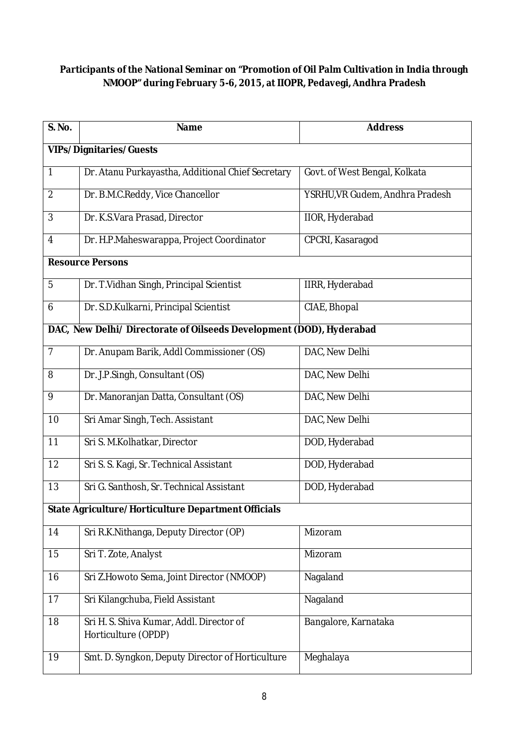# **Participants of the National Seminar on "Promotion of Oil Palm Cultivation in India through NMOOP" during February 5-6, 2015, at IIOPR, Pedavegi, Andhra Pradesh**

| <b>S. No.</b>                                                        | <b>Name</b>                                                     | <b>Address</b>                  |
|----------------------------------------------------------------------|-----------------------------------------------------------------|---------------------------------|
| <b>VIPs/Dignitaries/Guests</b>                                       |                                                                 |                                 |
| 1                                                                    | Dr. Atanu Purkayastha, Additional Chief Secretary               | Govt. of West Bengal, Kolkata   |
| $\overline{2}$                                                       | Dr. B.M.C.Reddy, Vice Chancellor                                | YSRHU, VR Gudem, Andhra Pradesh |
| 3                                                                    | Dr. K.S.Vara Prasad, Director                                   | <b>IIOR, Hyderabad</b>          |
| 4                                                                    | Dr. H.P.Maheswarappa, Project Coordinator                       | CPCRI, Kasaragod                |
|                                                                      | <b>Resource Persons</b>                                         |                                 |
| 5                                                                    | Dr. T. Vidhan Singh, Principal Scientist                        | IIRR, Hyderabad                 |
| 6                                                                    | Dr. S.D.Kulkarni, Principal Scientist                           | CIAE, Bhopal                    |
| DAC, New Delhi/ Directorate of Oilseeds Development (DOD), Hyderabad |                                                                 |                                 |
| $\overline{7}$                                                       | Dr. Anupam Barik, Addl Commissioner (OS)                        | DAC, New Delhi                  |
| 8                                                                    | Dr. J.P.Singh, Consultant (OS)                                  | DAC, New Delhi                  |
| 9                                                                    | Dr. Manoranjan Datta, Consultant (OS)                           | DAC, New Delhi                  |
| 10                                                                   | Sri Amar Singh, Tech. Assistant                                 | DAC, New Delhi                  |
| 11                                                                   | Sri S. M.Kolhatkar, Director                                    | DOD, Hyderabad                  |
| 12                                                                   | Sri S. S. Kagi, Sr. Technical Assistant                         | DOD, Hyderabad                  |
| 13                                                                   | Sri G. Santhosh, Sr. Technical Assistant                        | DOD, Hyderabad                  |
|                                                                      | State Agriculture/Horticulture Department Officials             |                                 |
| 14                                                                   | Sri R.K.Nithanga, Deputy Director (OP)                          | Mizoram                         |
| 15                                                                   | Sri T. Zote, Analyst                                            | Mizoram                         |
| 16                                                                   | Sri Z.Howoto Sema, Joint Director (NMOOP)                       | Nagaland                        |
| 17                                                                   | Sri Kilangchuba, Field Assistant                                | Nagaland                        |
| 18                                                                   | Sri H. S. Shiva Kumar, Addl. Director of<br>Horticulture (OPDP) | Bangalore, Karnataka            |
| 19                                                                   | Smt. D. Syngkon, Deputy Director of Horticulture                | Meghalaya                       |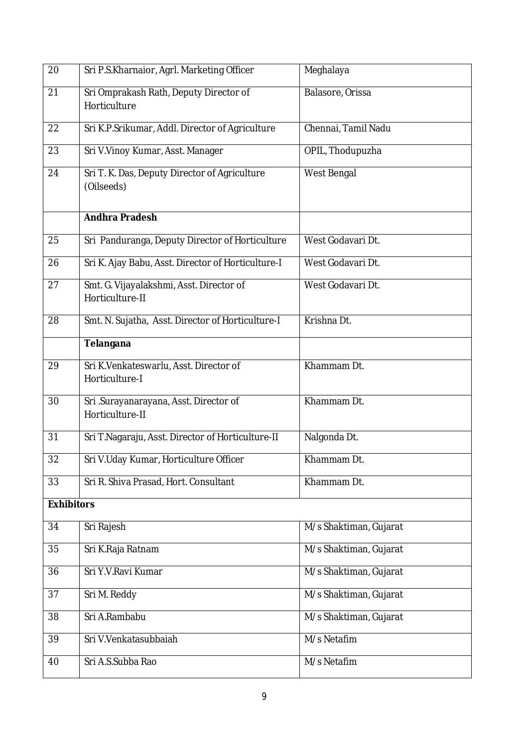| 20                | Sri P.S.Kharnaior, Agrl. Marketing Officer                  | Meghalaya              |
|-------------------|-------------------------------------------------------------|------------------------|
| 21                | Sri Omprakash Rath, Deputy Director of<br>Horticulture      | Balasore, Orissa       |
| 22                | Sri K.P.Srikumar, Addl. Director of Agriculture             | Chennai, Tamil Nadu    |
| 23                | Sri V.Vinoy Kumar, Asst. Manager                            | OPIL, Thodupuzha       |
| 24                | Sri T. K. Das, Deputy Director of Agriculture<br>(Oilseeds) | West Bengal            |
|                   | <b>Andhra Pradesh</b>                                       |                        |
| 25                | Sri Panduranga, Deputy Director of Horticulture             | West Godavari Dt.      |
| 26                | Sri K. Ajay Babu, Asst. Director of Horticulture-I          | West Godavari Dt.      |
| 27                | Smt. G. Vijayalakshmi, Asst. Director of<br>Horticulture-II | West Godavari Dt.      |
| 28                | Smt. N. Sujatha, Asst. Director of Horticulture-I           | Krishna Dt.            |
|                   | Telangana                                                   |                        |
| 29                | Sri K.Venkateswarlu, Asst. Director of<br>Horticulture-I    | Khammam Dt.            |
| 30                | Sri .Surayanarayana, Asst. Director of<br>Horticulture-II   | Khammam Dt.            |
| 31                | Sri T.Nagaraju, Asst. Director of Horticulture-II           | Nalgonda Dt.           |
| 32                | Sri V.Uday Kumar, Horticulture Officer                      | Khammam Dt.            |
| 33                | Sri R. Shiva Prasad, Hort. Consultant                       | Khammam Dt.            |
| <b>Exhibitors</b> |                                                             |                        |
| 34                | Sri Rajesh                                                  | M/s Shaktiman, Gujarat |
| 35                | Sri K.Raja Ratnam                                           | M/s Shaktiman, Gujarat |
| 36                | Sri Y.V.Ravi Kumar                                          | M/s Shaktiman, Gujarat |
| 37                | Sri M. Reddy                                                | M/s Shaktiman, Gujarat |
| 38                | Sri A.Rambabu                                               | M/s Shaktiman, Gujarat |
| 39                | Sri V.Venkatasubbaiah                                       | M/s Netafim            |
| 40                | Sri A.S.Subba Rao                                           | M/s Netafim            |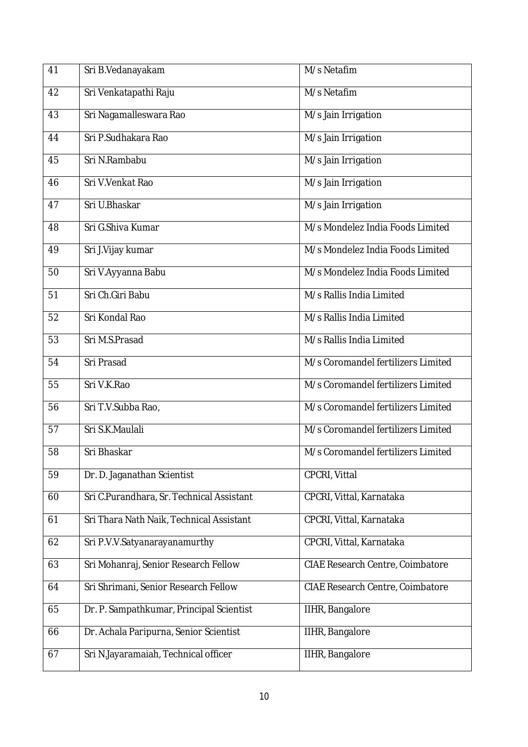| 41 | Sri B.Vedanayakam                         | M/s Netafim                             |
|----|-------------------------------------------|-----------------------------------------|
| 42 | Sri Venkatapathi Raju                     | M/s Netafim                             |
| 43 | Sri Nagamalleswara Rao                    | M/s Jain Irrigation                     |
| 44 | Sri P.Sudhakara Rao                       | M/s Jain Irrigation                     |
| 45 | Sri N.Rambabu                             | M/s Jain Irrigation                     |
| 46 | Sri V.Venkat Rao                          | M/s Jain Irrigation                     |
| 47 | Sri U.Bhaskar                             | M/s Jain Irrigation                     |
| 48 | Sri G.Shiva Kumar                         | M/s Mondelez India Foods Limited        |
| 49 | Sri J.Vijay kumar                         | M/s Mondelez India Foods Limited        |
| 50 | Sri V.Ayyanna Babu                        | M/s Mondelez India Foods Limited        |
| 51 | Sri Ch.Giri Babu                          | M/s Rallis India Limited                |
| 52 | Sri Kondal Rao                            | M/s Rallis India Limited                |
| 53 | Sri M.S.Prasad                            | M/s Rallis India Limited                |
| 54 | Sri Prasad                                | M/s Coromandel fertilizers Limited      |
| 55 | Sri V.K.Rao                               | M/s Coromandel fertilizers Limited      |
| 56 | Sri T.V.Subba Rao,                        | M/s Coromandel fertilizers Limited      |
| 57 | Sri S.K.Maulali                           | M/s Coromandel fertilizers Limited      |
| 58 | Sri Bhaskar                               | M/s Coromandel fertilizers Limited      |
| 59 | Dr. D. Jaganathan Scientist               | CPCRI, Vittal                           |
| 60 | Sri C.Purandhara, Sr. Technical Assistant | CPCRI, Vittal, Karnataka                |
| 61 | Sri Thara Nath Naik, Technical Assistant  | CPCRI, Vittal, Karnataka                |
| 62 | Sri P.V.V.Satyanarayanamurthy             | CPCRI, Vittal, Karnataka                |
| 63 | Sri Mohanraj, Senior Research Fellow      | <b>CIAE Research Centre, Coimbatore</b> |
| 64 | Sri Shrimani, Senior Research Fellow      | CIAE Research Centre, Coimbatore        |
| 65 | Dr. P. Sampathkumar, Principal Scientist  | IIHR, Bangalore                         |
| 66 | Dr. Achala Paripurna, Senior Scientist    | IIHR, Bangalore                         |
| 67 | Sri N.Jayaramaiah, Technical officer      | IIHR, Bangalore                         |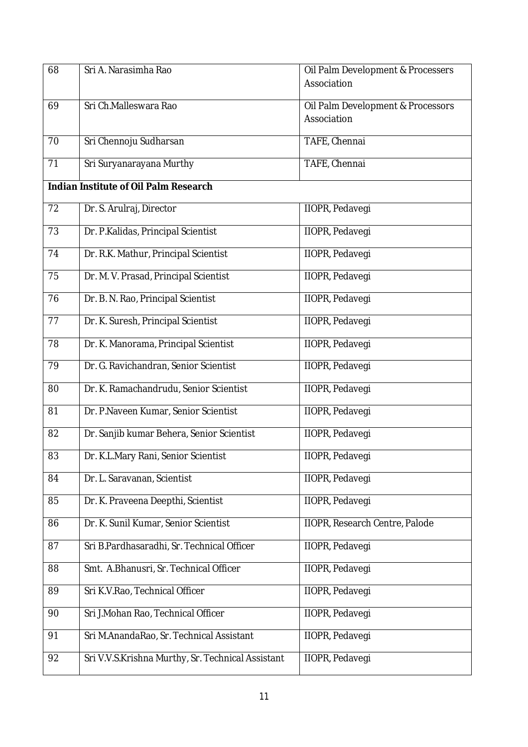| 68                                    | Sri A. Narasimha Rao                              | Oil Palm Development & Processers     |
|---------------------------------------|---------------------------------------------------|---------------------------------------|
|                                       |                                                   | Association                           |
| 69                                    | Sri Ch.Malleswara Rao                             | Oil Palm Development & Processors     |
|                                       |                                                   | Association                           |
| 70                                    | Sri Chennoju Sudharsan                            | TAFE, Chennai                         |
| 71                                    | Sri Suryanarayana Murthy                          | TAFE, Chennai                         |
|                                       |                                                   |                                       |
| Indian Institute of Oil Palm Research |                                                   |                                       |
| 72                                    | Dr. S. Arulraj, Director                          | <b>IIOPR, Pedavegi</b>                |
| 73                                    | Dr. P.Kalidas, Principal Scientist                | IIOPR, Pedavegi                       |
| 74                                    | Dr. R.K. Mathur, Principal Scientist              | <b>IIOPR, Pedavegi</b>                |
| 75                                    | Dr. M. V. Prasad, Principal Scientist             | <b>IIOPR, Pedavegi</b>                |
| 76                                    | Dr. B. N. Rao, Principal Scientist                | <b>IIOPR, Pedavegi</b>                |
| 77                                    | Dr. K. Suresh, Principal Scientist                | IIOPR, Pedavegi                       |
| 78                                    | Dr. K. Manorama, Principal Scientist              | IIOPR, Pedavegi                       |
| 79                                    | Dr. G. Ravichandran, Senior Scientist             | <b>IIOPR, Pedavegi</b>                |
| 80                                    | Dr. K. Ramachandrudu, Senior Scientist            | <b>IIOPR, Pedavegi</b>                |
| 81                                    | Dr. P.Naveen Kumar, Senior Scientist              | IIOPR, Pedavegi                       |
| 82                                    | Dr. Sanjib kumar Behera, Senior Scientist         | IIOPR, Pedavegi                       |
| 83                                    | Dr. K.L.Mary Rani, Senior Scientist               | <b>IIOPR, Pedavegi</b>                |
| 84                                    | Dr. L. Saravanan, Scientist                       | <b>IIOPR, Pedavegi</b>                |
| 85                                    | Dr. K. Praveena Deepthi, Scientist                | <b>IIOPR, Pedavegi</b>                |
| 86                                    | Dr. K. Sunil Kumar, Senior Scientist              | <b>IIOPR, Research Centre, Palode</b> |
| 87                                    | Sri B.Pardhasaradhi, Sr. Technical Officer        | <b>IIOPR, Pedavegi</b>                |
| 88                                    | Smt. A.Bhanusri, Sr. Technical Officer            | IIOPR, Pedavegi                       |
| 89                                    | Sri K.V.Rao, Technical Officer                    | IIOPR, Pedavegi                       |
| 90                                    | Sri J.Mohan Rao, Technical Officer                | IIOPR, Pedavegi                       |
| 91                                    | Sri M.AnandaRao, Sr. Technical Assistant          | <b>IIOPR, Pedavegi</b>                |
| 92                                    | Sri V.V.S.Krishna Murthy, Sr. Technical Assistant | <b>IIOPR, Pedavegi</b>                |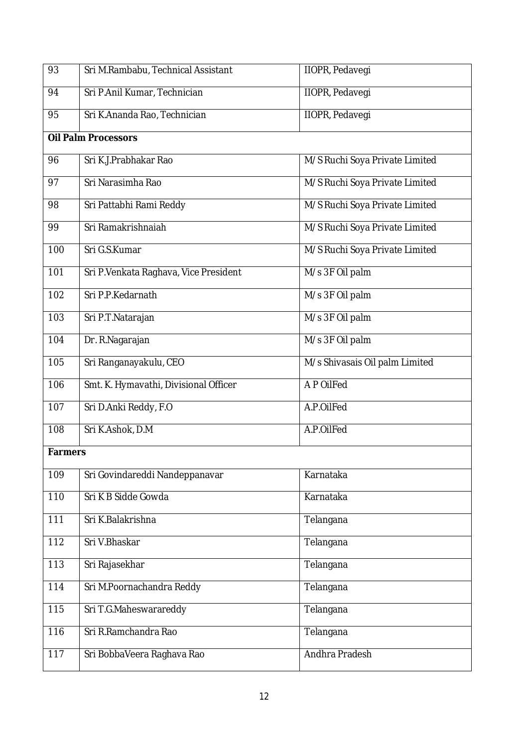| 93             | Sri M.Rambabu, Technical Assistant    | IIOPR, Pedavegi                |
|----------------|---------------------------------------|--------------------------------|
| 94             | Sri P.Anil Kumar, Technician          | IIOPR, Pedavegi                |
| 95             | Sri K.Ananda Rao, Technician          | <b>IIOPR, Pedavegi</b>         |
|                | <b>Oil Palm Processors</b>            |                                |
| 96             | Sri K.J.Prabhakar Rao                 | M/S Ruchi Soya Private Limited |
| 97             | Sri Narasimha Rao                     | M/S Ruchi Soya Private Limited |
| 98             | Sri Pattabhi Rami Reddy               | M/S Ruchi Soya Private Limited |
| 99             | Sri Ramakrishnaiah                    | M/S Ruchi Soya Private Limited |
| 100            | Sri G.S.Kumar                         | M/S Ruchi Soya Private Limited |
| 101            | Sri P.Venkata Raghava, Vice President | M/s 3F Oil palm                |
| 102            | Sri P.P.Kedarnath                     | M/s 3F Oil palm                |
| 103            | Sri P.T. Natarajan                    | M/s 3F Oil palm                |
| 104            | Dr. R.Nagarajan                       | M/s 3F Oil palm                |
| 105            | Sri Ranganayakulu, CEO                | M/s Shivasais Oil palm Limited |
| 106            | Smt. K. Hymavathi, Divisional Officer | A P OilFed                     |
| 107            | Sri D.Anki Reddy, F.O                 | A.P.OilFed                     |
| 108            | Sri K.Ashok, D.M.                     | A.P.OilFed                     |
| <b>Farmers</b> |                                       |                                |
| 109            | Sri Govindareddi Nandeppanavar        | Karnataka                      |
| 110            | Sri K B Sidde Gowda                   | Karnataka                      |
| 111            | Sri K.Balakrishna                     | Telangana                      |
| 112            | Sri V.Bhaskar                         | Telangana                      |
| 113            | Sri Rajasekhar                        | Telangana                      |
| 114            | Sri M.Poornachandra Reddy             | Telangana                      |
| 115            | Sri T.G.Maheswarareddy                | Telangana                      |
| 116            | Sri R.Ramchandra Rao                  | Telangana                      |
| 117            | Sri BobbaVeera Raghava Rao            | Andhra Pradesh                 |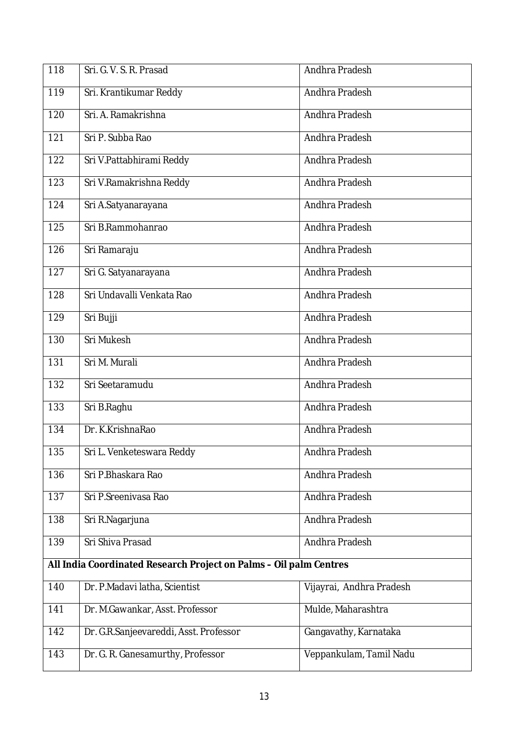| 118                                                                | Sri. G. V. S. R. Prasad                | Andhra Pradesh           |
|--------------------------------------------------------------------|----------------------------------------|--------------------------|
| 119                                                                | Sri. Krantikumar Reddy                 | Andhra Pradesh           |
| 120                                                                | Sri. A. Ramakrishna                    | Andhra Pradesh           |
| 121                                                                | Sri P. Subba Rao                       | Andhra Pradesh           |
| 122                                                                | Sri V.Pattabhirami Reddy               | Andhra Pradesh           |
| 123                                                                | Sri V.Ramakrishna Reddy                | Andhra Pradesh           |
| 124                                                                | Sri A.Satyanarayana                    | Andhra Pradesh           |
| 125                                                                | Sri B.Rammohanrao                      | Andhra Pradesh           |
| 126                                                                | Sri Ramaraju                           | Andhra Pradesh           |
| 127                                                                | Sri G. Satyanarayana                   | Andhra Pradesh           |
| 128                                                                | Sri Undavalli Venkata Rao              | Andhra Pradesh           |
| 129                                                                | Sri Bujji                              | Andhra Pradesh           |
| 130                                                                | Sri Mukesh                             | Andhra Pradesh           |
| 131                                                                | Sri M. Murali                          | Andhra Pradesh           |
| 132                                                                | Sri Seetaramudu                        | Andhra Pradesh           |
| 133                                                                | Sri B.Raghu                            | Andhra Pradesh           |
| 134                                                                | Dr. K.KrishnaRao                       | Andhra Pradesh           |
| 135                                                                | Sri L. Venketeswara Reddy              | Andhra Pradesh           |
| 136                                                                | Sri P.Bhaskara Rao                     | Andhra Pradesh           |
| 137                                                                | Sri P.Sreenivasa Rao                   | Andhra Pradesh           |
| 138                                                                | Sri R.Nagarjuna                        | Andhra Pradesh           |
| 139                                                                | Sri Shiva Prasad                       | Andhra Pradesh           |
| All India Coordinated Research Project on Palms - Oil palm Centres |                                        |                          |
| 140                                                                | Dr. P.Madavi latha, Scientist          | Vijayrai, Andhra Pradesh |
| 141                                                                | Dr. M.Gawankar, Asst. Professor        | Mulde, Maharashtra       |
| 142                                                                | Dr. G.R.Sanjeevareddi, Asst. Professor | Gangavathy, Karnataka    |
| 143                                                                | Dr. G. R. Ganesamurthy, Professor      | Veppankulam, Tamil Nadu  |